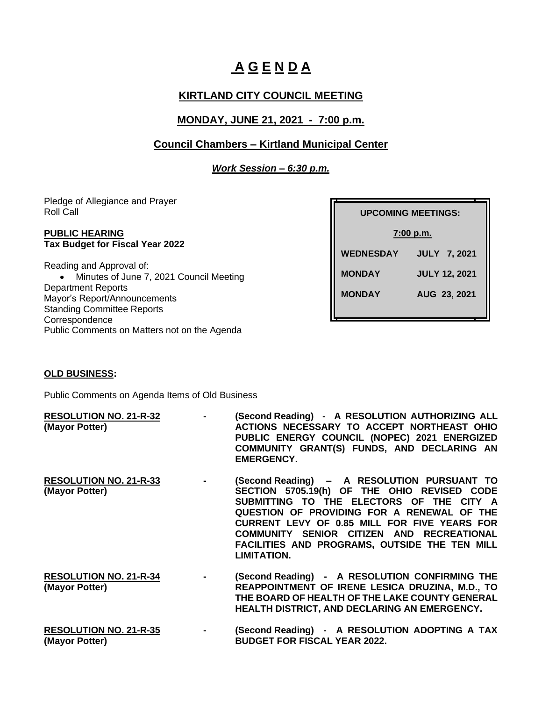# **A G E N D A**

# **KIRTLAND CITY COUNCIL MEETING**

# **MONDAY, JUNE 21, 2021 - 7:00 p.m.**

## **Council Chambers – Kirtland Municipal Center**

*Work Session – 6:30 p.m.*

Pledge of Allegiance and Prayer Roll Call

#### **PUBLIC HEARING Tax Budget for Fiscal Year 2022**

Reading and Approval of: • Minutes of June 7, 2021 Council Meeting Department Reports Mayor's Report/Announcements Standing Committee Reports **Correspondence** Public Comments on Matters not on the Agenda

| <b>UPCOMING MEETINGS:</b> |                      |  |
|---------------------------|----------------------|--|
| 7:00 p.m.                 |                      |  |
| <b>WEDNESDAY</b>          | <b>JULY 7, 2021</b>  |  |
| <b>MONDAY</b>             | <b>JULY 12, 2021</b> |  |
| <b>MONDAY</b>             | AUG 23, 2021         |  |
|                           |                      |  |

#### **OLD BUSINESS:**

Public Comments on Agenda Items of Old Business

| <b>RESOLUTION NO. 21-R-32</b><br>(Mayor Potter) | $\sim$         | (Second Reading) - A RESOLUTION AUTHORIZING ALL<br>ACTIONS NECESSARY TO ACCEPT NORTHEAST OHIO<br>PUBLIC ENERGY COUNCIL (NOPEC) 2021 ENERGIZED<br>COMMUNITY GRANT(S) FUNDS, AND DECLARING AN<br><b>EMERGENCY.</b>                                                                                                                                         |
|-------------------------------------------------|----------------|----------------------------------------------------------------------------------------------------------------------------------------------------------------------------------------------------------------------------------------------------------------------------------------------------------------------------------------------------------|
| <b>RESOLUTION NO. 21-R-33</b><br>(Mayor Potter) | $\sim 100$     | (Second Reading) - A RESOLUTION PURSUANT TO<br>SECTION 5705.19(h) OF THE OHIO REVISED CODE<br>SUBMITTING TO THE ELECTORS OF THE CITY A<br>QUESTION OF PROVIDING FOR A RENEWAL OF THE<br>CURRENT LEVY OF 0.85 MILL FOR FIVE YEARS FOR<br>COMMUNITY SENIOR CITIZEN AND RECREATIONAL<br>FACILITIES AND PROGRAMS, OUTSIDE THE TEN MILL<br><b>LIMITATION.</b> |
| <b>RESOLUTION NO. 21-R-34</b><br>(Mayor Potter) | $\blacksquare$ | (Second Reading) - A RESOLUTION CONFIRMING THE<br>REAPPOINTMENT OF IRENE LESICA DRUZINA, M.D., TO                                                                                                                                                                                                                                                        |

- **THE BOARD OF HEALTH OF THE LAKE COUNTY GENERAL HEALTH DISTRICT, AND DECLARING AN EMERGENCY.**
- **RESOLUTION NO. 21-R-35 - (Second Reading) A RESOLUTION ADOPTING A TAX (Mayor Potter) BUDGET FOR FISCAL YEAR 2022.**